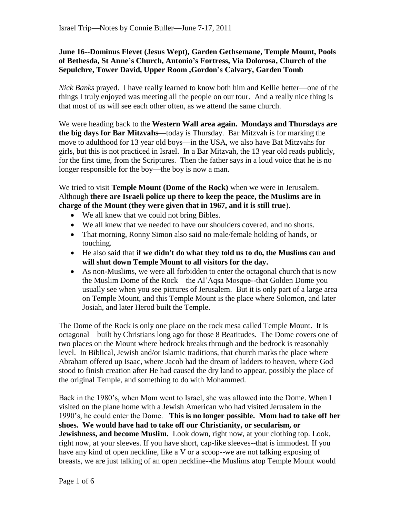## **June 16--Dominus Flevet (Jesus Wept), Garden Gethsemane, Temple Mount, Pools of Bethesda, St Anne's Church, Antonio's Fortress, Via Dolorosa, Church of the Sepulchre, Tower David, Upper Room ,Gordon's Calvary, Garden Tomb**

*Nick Banks* prayed. I have really learned to know both him and Kellie better—one of the things I truly enjoyed was meeting all the people on our tour. And a really nice thing is that most of us will see each other often, as we attend the same church.

We were heading back to the **Western Wall area again. Mondays and Thursdays are the big days for Bar Mitzvahs**—today is Thursday. Bar Mitzvah is for marking the move to adulthood for 13 year old boys—in the USA, we also have Bat Mitzvahs for girls, but this is not practiced in Israel. In a Bar Mitzvah, the 13 year old reads publicly, for the first time, from the Scriptures. Then the father says in a loud voice that he is no longer responsible for the boy—the boy is now a man.

We tried to visit **Temple Mount (Dome of the Rock)** when we were in Jerusalem. Although **there are Israeli police up there to keep the peace, the Muslims are in charge of the Mount (they were given that in 1967, and it is still true**).

- We all knew that we could not bring Bibles.
- We all knew that we needed to have our shoulders covered, and no shorts.
- That morning, Ronny Simon also said no male/female holding of hands, or touching.
- He also said that **if we didn't do what they told us to do, the Muslims can and will shut down Temple Mount to all visitors for the day.**
- As non-Muslims, we were all forbidden to enter the octagonal church that is now the Muslim Dome of the Rock—the Al'Aqsa Mosque--that Golden Dome you usually see when you see pictures of Jerusalem. But it is only part of a large area on Temple Mount, and this Temple Mount is the place where Solomon, and later Josiah, and later Herod built the Temple.

The Dome of the Rock is only one place on the rock mesa called Temple Mount. It is octagonal—built by Christians long ago for those 8 Beatitudes. The Dome covers one of two places on the Mount where bedrock breaks through and the bedrock is reasonably level. In Biblical, Jewish and/or Islamic traditions, that church marks the place where Abraham offered up Isaac, where Jacob had the dream of ladders to heaven, where God stood to finish creation after He had caused the dry land to appear, possibly the place of the original Temple, and something to do with Mohammed.

Back in the 1980's, when Mom went to Israel, she was allowed into the Dome. When I visited on the plane home with a Jewish American who had visited Jerusalem in the 1990's, he could enter the Dome. **This is no longer possible. Mom had to take off her shoes. We would have had to take off our Christianity, or secularism, or Jewishness, and become Muslim.** Look down, right now, at your clothing top. Look, right now, at your sleeves. If you have short, cap-like sleeves--that is immodest. If you have any kind of open neckline, like a V or a scoop--we are not talking exposing of breasts, we are just talking of an open neckline--the Muslims atop Temple Mount would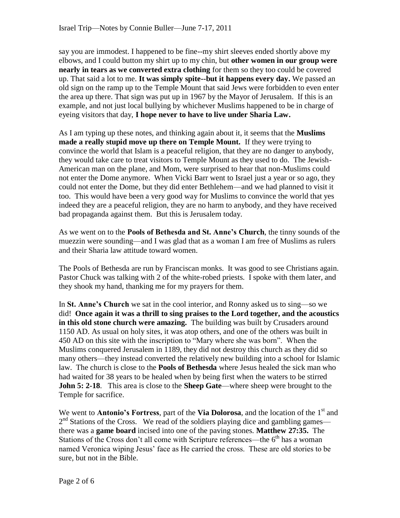say you are immodest. I happened to be fine--my shirt sleeves ended shortly above my elbows, and I could button my shirt up to my chin, but **other women in our group were nearly in tears as we converted extra clothing** for them so they too could be covered up. That said a lot to me. **It was simply spite--but it happens every day.** We passed an old sign on the ramp up to the Temple Mount that said Jews were forbidden to even enter the area up there. That sign was put up in 1967 by the Mayor of Jerusalem. If this is an example, and not just local bullying by whichever Muslims happened to be in charge of eyeing visitors that day, **I hope never to have to live under Sharia Law.**

As I am typing up these notes, and thinking again about it, it seems that the **Muslims made a really stupid move up there on Temple Mount.** If they were trying to convince the world that Islam is a peaceful religion, that they are no danger to anybody, they would take care to treat visitors to Temple Mount as they used to do. The Jewish-American man on the plane, and Mom, were surprised to hear that non-Muslims could not enter the Dome anymore. When Vicki Barr went to Israel just a year or so ago, they could not enter the Dome, but they did enter Bethlehem—and we had planned to visit it too. This would have been a very good way for Muslims to convince the world that yes indeed they are a peaceful religion, they are no harm to anybody, and they have received bad propaganda against them. But this is Jerusalem today.

As we went on to the **Pools of Bethesda and St. Anne's Church**, the tinny sounds of the muezzin were sounding—and I was glad that as a woman I am free of Muslims as rulers and their Sharia law attitude toward women.

The Pools of Bethesda are run by Franciscan monks. It was good to see Christians again. Pastor Chuck was talking with 2 of the white-robed priests. I spoke with them later, and they shook my hand, thanking me for my prayers for them.

In **St. Anne's Church** we sat in the cool interior, and Ronny asked us to sing—so we did! **Once again it was a thrill to sing praises to the Lord together, and the acoustics in this old stone church were amazing.** The building was built by Crusaders around 1150 AD. As usual on holy sites, it was atop others, and one of the others was built in 450 AD on this site with the inscription to "Mary where she was born". When the Muslims conquered Jerusalem in 1189, they did not destroy this church as they did so many others—they instead converted the relatively new building into a school for Islamic law. The church is close to the **Pools of Bethesda** where Jesus healed the sick man who had waited for 38 years to be healed when by being first when the waters to be stirred **John 5: 2-18.** This area is close to the **Sheep Gate—**where sheep were brought to the Temple for sacrifice.

We went to **Antonio's Fortress**, part of the **Via Dolorosa**, and the location of the 1<sup>st</sup> and 2<sup>nd</sup> Stations of the Cross. We read of the soldiers playing dice and gambling games there was a **game board** incised into one of the paving stones. **Matthew 27:35.** The Stations of the Cross don't all come with Scripture references—the  $6<sup>th</sup>$  has a woman named Veronica wiping Jesus' face as He carried the cross. These are old stories to be sure, but not in the Bible.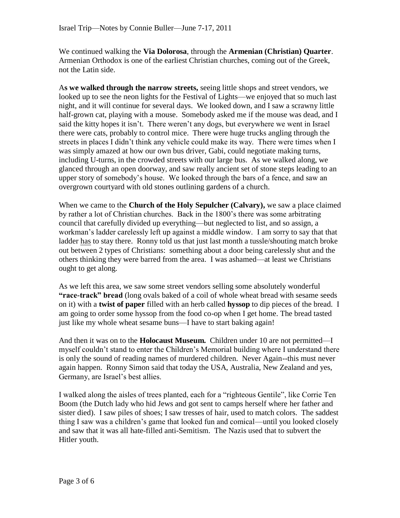We continued walking the **Via Dolorosa**, through the **Armenian (Christian) Quarter**. Armenian Orthodox is one of the earliest Christian churches, coming out of the Greek, not the Latin side.

A**s we walked through the narrow streets,** seeing little shops and street vendors, we looked up to see the neon lights for the Festival of Lights—we enjoyed that so much last night, and it will continue for several days. We looked down, and I saw a scrawny little half-grown cat, playing with a mouse. Somebody asked me if the mouse was dead, and I said the kitty hopes it isn't. There weren't any dogs, but everywhere we went in Israel there were cats, probably to control mice. There were huge trucks angling through the streets in places I didn't think any vehicle could make its way. There were times when I was simply amazed at how our own bus driver, Gabi, could negotiate making turns, including U-turns, in the crowded streets with our large bus. As we walked along, we glanced through an open doorway, and saw really ancient set of stone steps leading to an upper story of somebody's house. We looked through the bars of a fence, and saw an overgrown courtyard with old stones outlining gardens of a church.

When we came to the **Church of the Holy Sepulcher (Calvary),** we saw a place claimed by rather a lot of Christian churches. Back in the 1800's there was some arbitrating council that carefully divided up everything—but neglected to list, and so assign, a workman's ladder carelessly left up against a middle window. I am sorry to say that that ladder has to stay there. Ronny told us that just last month a tussle/shouting match broke out between 2 types of Christians: something about a door being carelessly shut and the others thinking they were barred from the area. I was ashamed—at least we Christians ought to get along.

As we left this area, we saw some street vendors selling some absolutely wonderful **"race-track" bread** (long ovals baked of a coil of whole wheat bread with sesame seeds on it) with a **twist of paper** filled with an herb called **hyssop** to dip pieces of the bread. I am going to order some hyssop from the food co-op when I get home. The bread tasted just like my whole wheat sesame buns—I have to start baking again!

And then it was on to the **Holocaust Museum.** Children under 10 are not permitted—I myself couldn't stand to enter the Children's Memorial building where I understand there is only the sound of reading names of murdered children. Never Again--this must never again happen. Ronny Simon said that today the USA, Australia, New Zealand and yes, Germany, are Israel's best allies.

I walked along the aisles of trees planted, each for a "righteous Gentile", like Corrie Ten Boom (the Dutch lady who hid Jews and got sent to camps herself where her father and sister died). I saw piles of shoes; I saw tresses of hair, used to match colors. The saddest thing I saw was a children's game that looked fun and comical—until you looked closely and saw that it was all hate-filled anti-Semitism. The Nazis used that to subvert the Hitler youth.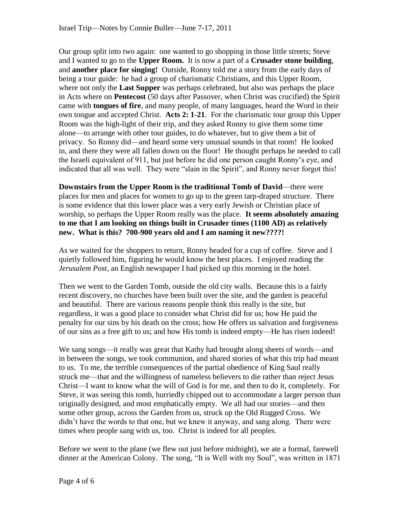Our group split into two again: one wanted to go shopping in those little streets; Steve and I wanted to go to the **Upper Room.** It is now a part of a **Crusader stone building**, and **another place for singing!** Outside, Ronny told me a story from the early days of being a tour guide: he had a group of charismatic Christians, and this Upper Room, where not only the **Last Supper** was perhaps celebrated, but also was perhaps the place in Acts where on **Pentecost** (50 days after Passover, when Christ was crucified) the Spirit came with **tongues of fire**, and many people, of many languages, heard the Word in their own tongue and accepted Christ. **Acts 2: 1-21**. For the charismatic tour group this Upper Room was the high-light of their trip, and they asked Ronny to give them some time alone—to arrange with other tour guides, to do whatever, but to give them a bit of privacy. So Ronny did—and heard some very unusual sounds in that room! He looked in, and there they were all fallen down on the floor! He thought perhaps he needed to call the Israeli equivalent of 911, but just before he did one person caught Ronny's eye, and indicated that all was well. They were "slain in the Spirit", and Ronny never forgot this!

**Downstairs from the Upper Room is the traditional Tomb of David**—there were places for men and places for women to go up to the green tarp-draped structure. There is some evidence that this lower place was a very early Jewish or Christian place of worship, so perhaps the Upper Room really was the place. **It seems absolutely amazing to me that I am looking on things built in Crusader times (1100 AD) as relatively new. What is this? 700-900 years old and I am naming it new????!**

As we waited for the shoppers to return, Ronny headed for a cup of coffee. Steve and I quietly followed him, figuring he would know the best places. I enjoyed reading the *Jerusalem Post*, an English newspaper I had picked up this morning in the hotel.

Then we went to the Garden Tomb, outside the old city walls. Because this is a fairly recent discovery, no churches have been built over the site, and the garden is peaceful and beautiful. There are various reasons people think this really is the site, but regardless, it was a good place to consider what Christ did for us; how He paid the penalty for our sins by his death on the cross; how He offers us salvation and forgiveness of our sins as a free gift to us; and how His tomb is indeed empty—He has risen indeed!

We sang songs—it really was great that Kathy had brought along sheets of words—and in between the songs, we took communion, and shared stories of what this trip had meant to us. To me, the terrible consequences of the partial obedience of King Saul really struck me—that and the willingness of nameless believers to die rather than reject Jesus Christ—I want to know what the will of God is for me, and then to do it, completely. For Steve, it was seeing this tomb, hurriedly chipped out to accommodate a larger person than originally designed, and most emphatically empty. We all had our stories—and then some other group, across the Garden from us, struck up the Old Rugged Cross. We didn't have the words to that one, but we knew it anyway, and sang along. There were times when people sang with us, too. Christ is indeed for all peoples.

Before we went to the plane (we flew out just before midnight), we ate a formal, farewell dinner at the American Colony. The song, "It is Well with my Soul", was written in 1871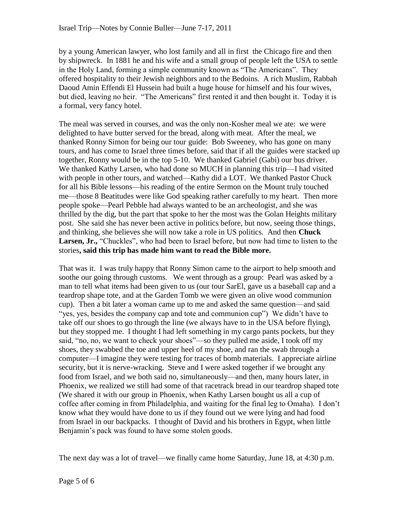by a young American lawyer, who lost family and all in first the Chicago fire and then by shipwreck. In 1881 he and his wife and a small group of people left the USA to settle in the Holy Land, forming a simple community known as "The Americans". They offered hospitality to their Jewish neighbors and to the Bedoins. A rich Muslim, Rabbah Daoud Amin Effendi El Hussein had built a huge house for himself and his four wives, but died, leaving no heir. "The Americans" first rented it and then bought it. Today it is a formal, very fancy hotel.

The meal was served in courses, and was the only non-Kosher meal we ate: we were delighted to have butter served for the bread, along with meat. After the meal, we thanked Ronny Simon for being our tour guide: Bob Sweeney, who has gone on many tours, and has come to Israel three times before, said that if all the guides were stacked up together, Ronny would be in the top 5-10. We thanked Gabriel (Gabi) our bus driver. We thanked Kathy Larsen, who had done so MUCH in planning this trip—I had visited with people in other tours, and watched—Kathy did a LOT. We thanked Pastor Chuck for all his Bible lessons—his reading of the entire Sermon on the Mount truly touched me—those 8 Beatitudes were like God speaking rather carefully to my heart. Then more people spoke—Pearl Pebble had always wanted to be an archeologist, and she was thrilled by the dig, but the part that spoke to her the most was the Golan Heights military post. She said she has never been active in politics before, but now, seeing those things, and thinking, she believes she will now take a role in US politics. And then **Chuck**  Larsen, Jr., "Chuckles", who had been to Israel before, but now had time to listen to the stories**, said this trip has made him want to read the Bible more.** 

That was it. I was truly happy that Ronny Simon came to the airport to help smooth and soothe our going through customs. We went through as a group: Pearl was asked by a man to tell what items had been given to us (our tour SarEl, gave us a baseball cap and a teardrop shape tote, and at the Garden Tomb we were given an olive wood communion cup). Then a bit later a woman came up to me and asked the same question—and said "yes, yes, besides the company cap and tote and communion cup") We didn't have to take off our shoes to go through the line (we always have to in the USA before flying), but they stopped me. I thought I had left something in my cargo pants pockets, but they said, "no, no, we want to check your shoes"—so they pulled me aside, I took off my shoes, they swabbed the toe and upper heel of my shoe, and ran the swab through a computer—I imagine they were testing for traces of bomb materials. I appreciate airline security, but it is nerve-wracking. Steve and I were asked together if we brought any food from Israel, and we both said no, simultaneously—and then, many hours later, in Phoenix, we realized we still had some of that racetrack bread in our teardrop shaped tote (We shared it with our group in Phoenix, when Kathy Larsen bought us all a cup of coffee after coming in from Philadelphia, and waiting for the final leg to Omaha). I don't know what they would have done to us if they found out we were lying and had food from Israel in our backpacks. I thought of David and his brothers in Egypt, when little Benjamin's pack was found to have some stolen goods.

The next day was a lot of travel—we finally came home Saturday, June 18, at 4:30 p.m.